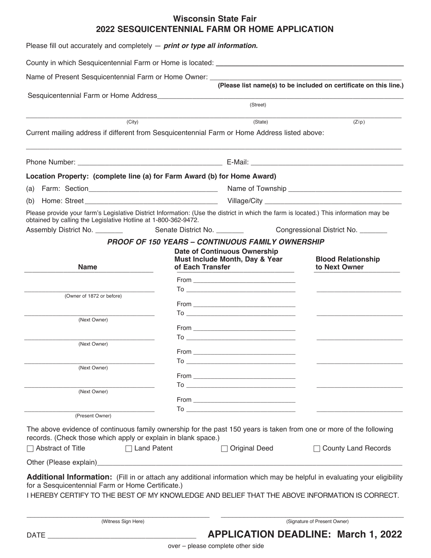## **Wisconsin State Fair 2022 SESQUICENTENNIAL FARM OR HOME APPLICATION**

| Please fill out accurately and completely $-$ print or type all information. |                                                                                                                                                                                                                                                                                                                                                                                                                                                  |                                                                   |
|------------------------------------------------------------------------------|--------------------------------------------------------------------------------------------------------------------------------------------------------------------------------------------------------------------------------------------------------------------------------------------------------------------------------------------------------------------------------------------------------------------------------------------------|-------------------------------------------------------------------|
|                                                                              |                                                                                                                                                                                                                                                                                                                                                                                                                                                  |                                                                   |
| Name of Present Sesquicentennial Farm or Home Owner: ____________            |                                                                                                                                                                                                                                                                                                                                                                                                                                                  |                                                                   |
|                                                                              |                                                                                                                                                                                                                                                                                                                                                                                                                                                  | (Please list name(s) to be included on certificate on this line.) |
|                                                                              | (Street)                                                                                                                                                                                                                                                                                                                                                                                                                                         |                                                                   |
| (City)                                                                       | (State)                                                                                                                                                                                                                                                                                                                                                                                                                                          | (Zip)                                                             |
|                                                                              | Current mailing address if different from Sesquicentennial Farm or Home Address listed above:                                                                                                                                                                                                                                                                                                                                                    |                                                                   |
|                                                                              |                                                                                                                                                                                                                                                                                                                                                                                                                                                  |                                                                   |
|                                                                              |                                                                                                                                                                                                                                                                                                                                                                                                                                                  |                                                                   |
| Location Property: (complete line (a) for Farm Award (b) for Home Award)     |                                                                                                                                                                                                                                                                                                                                                                                                                                                  |                                                                   |
| (a)                                                                          |                                                                                                                                                                                                                                                                                                                                                                                                                                                  |                                                                   |
| (b)                                                                          |                                                                                                                                                                                                                                                                                                                                                                                                                                                  |                                                                   |
| obtained by calling the Legislative Hotline at 1-800-362-9472.               | Please provide your farm's Legislative District Information: (Use the district in which the farm is located.) This information may be                                                                                                                                                                                                                                                                                                            |                                                                   |
| Assembly District No. ________                                               |                                                                                                                                                                                                                                                                                                                                                                                                                                                  |                                                                   |
|                                                                              | <b>PROOF OF 150 YEARS - CONTINUOUS FAMILY OWNERSHIP</b>                                                                                                                                                                                                                                                                                                                                                                                          |                                                                   |
|                                                                              | <b>Date of Continuous Ownership</b>                                                                                                                                                                                                                                                                                                                                                                                                              |                                                                   |
| <b>Name</b>                                                                  | Must Include Month, Day & Year<br>of Each Transfer                                                                                                                                                                                                                                                                                                                                                                                               | <b>Blood Relationship</b><br>to Next Owner                        |
|                                                                              |                                                                                                                                                                                                                                                                                                                                                                                                                                                  |                                                                   |
| (Owner of 1872 or before)                                                    |                                                                                                                                                                                                                                                                                                                                                                                                                                                  |                                                                   |
|                                                                              |                                                                                                                                                                                                                                                                                                                                                                                                                                                  |                                                                   |
| (Next Owner)                                                                 | $\begin{tabular}{c} To & \begin{tabular}{@{}c@{}} \hline \multicolumn{3}{@{}c@{}} \multicolumn{3}{@{}c@{}} \multicolumn{3}{@{}c@{}} \multicolumn{3}{@{}c@{}} \multicolumn{3}{@{}c@{}} \multicolumn{3}{@{}c@{}} \multicolumn{3}{@{}c@{}} \multicolumn{3}{@{}c@{}} \multicolumn{3}{@{}c@{}} \multicolumn{3}{@{}c@{}} \multicolumn{3}{@{}c@{}} \multicolumn{3}{@{}c@{}} \multicolumn{3}{@{}c@{}} \multicolumn{3}{@{}c@{}} \multicolumn{3}{@{}c@{}}$ |                                                                   |
|                                                                              |                                                                                                                                                                                                                                                                                                                                                                                                                                                  |                                                                   |
| (Next Owner)                                                                 |                                                                                                                                                                                                                                                                                                                                                                                                                                                  |                                                                   |
|                                                                              | From                                                                                                                                                                                                                                                                                                                                                                                                                                             |                                                                   |
| (Next Owner)                                                                 |                                                                                                                                                                                                                                                                                                                                                                                                                                                  |                                                                   |
|                                                                              |                                                                                                                                                                                                                                                                                                                                                                                                                                                  |                                                                   |
| (Next Owner)                                                                 |                                                                                                                                                                                                                                                                                                                                                                                                                                                  |                                                                   |
|                                                                              |                                                                                                                                                                                                                                                                                                                                                                                                                                                  |                                                                   |
| (Present Owner)                                                              | $\mathsf{To}\hspace{1.5cm}\longrightarrow$                                                                                                                                                                                                                                                                                                                                                                                                       |                                                                   |
|                                                                              | The above evidence of continuous family ownership for the past 150 years is taken from one or more of the following                                                                                                                                                                                                                                                                                                                              |                                                                   |
| records. (Check those which apply or explain in blank space.)                |                                                                                                                                                                                                                                                                                                                                                                                                                                                  |                                                                   |
| $\sqcap$ Abstract of Title<br>$\Box$ Land Patent                             | $\Box$ Original Deed                                                                                                                                                                                                                                                                                                                                                                                                                             | $\Box$ County Land Records                                        |
|                                                                              |                                                                                                                                                                                                                                                                                                                                                                                                                                                  |                                                                   |
|                                                                              | Additional Information: (Fill in or attach any additional information which may be helpful in evaluating your eligibility                                                                                                                                                                                                                                                                                                                        |                                                                   |
| for a Sesquicentennial Farm or Home Certificate.)                            | I HEREBY CERTIFY TO THE BEST OF MY KNOWLEDGE AND BELIEF THAT THE ABOVE INFORMATION IS CORRECT.                                                                                                                                                                                                                                                                                                                                                   |                                                                   |
|                                                                              |                                                                                                                                                                                                                                                                                                                                                                                                                                                  |                                                                   |
| (Witness Sign Here)                                                          |                                                                                                                                                                                                                                                                                                                                                                                                                                                  | (Signature of Present Owner)                                      |
| <b>DATE</b>                                                                  |                                                                                                                                                                                                                                                                                                                                                                                                                                                  | <b>APPLICATION DEADLINE: March 1, 2022</b>                        |